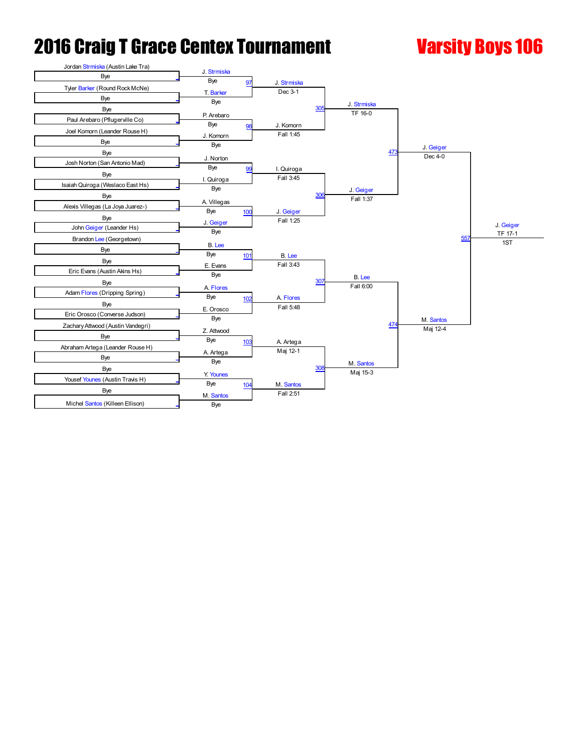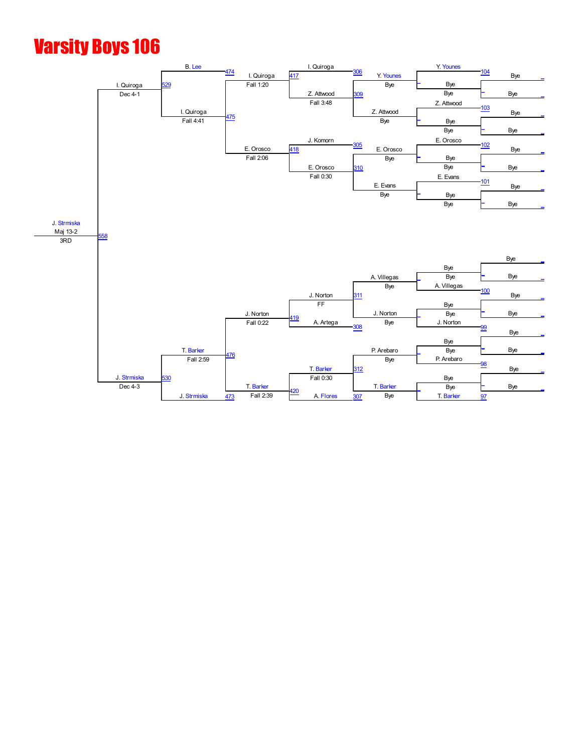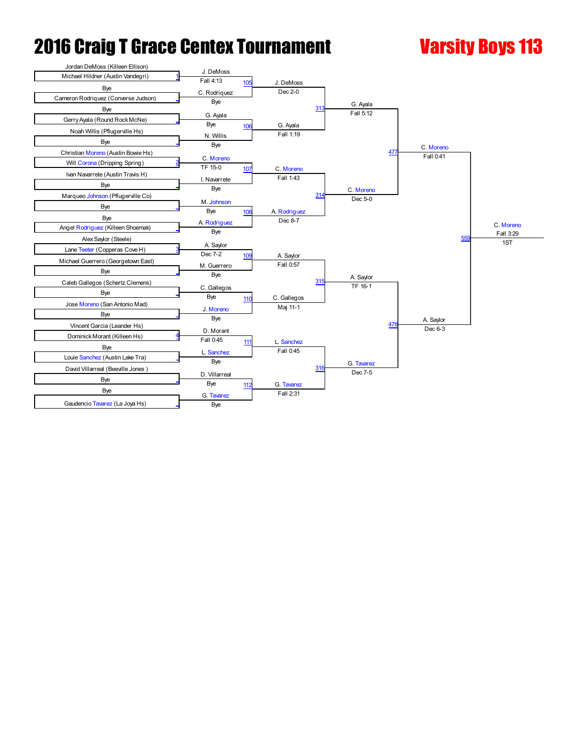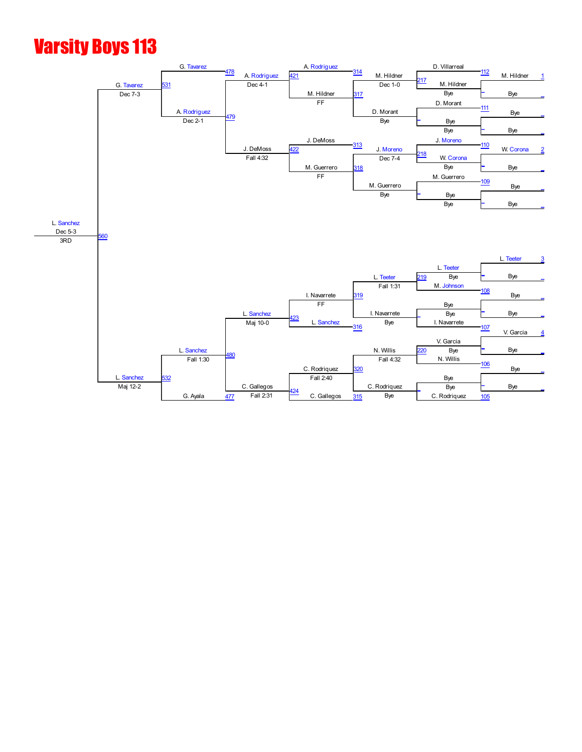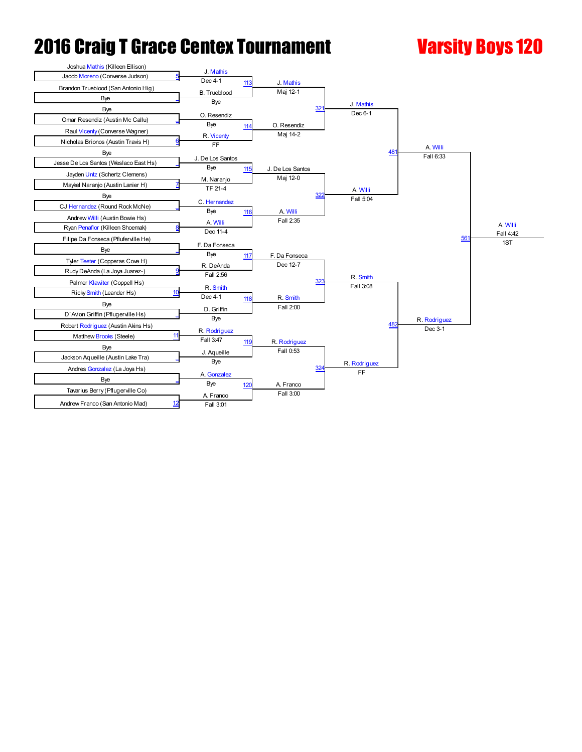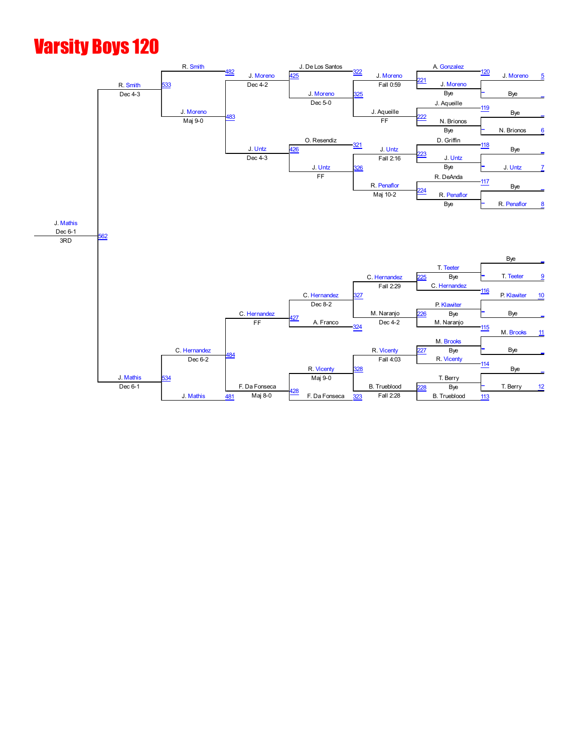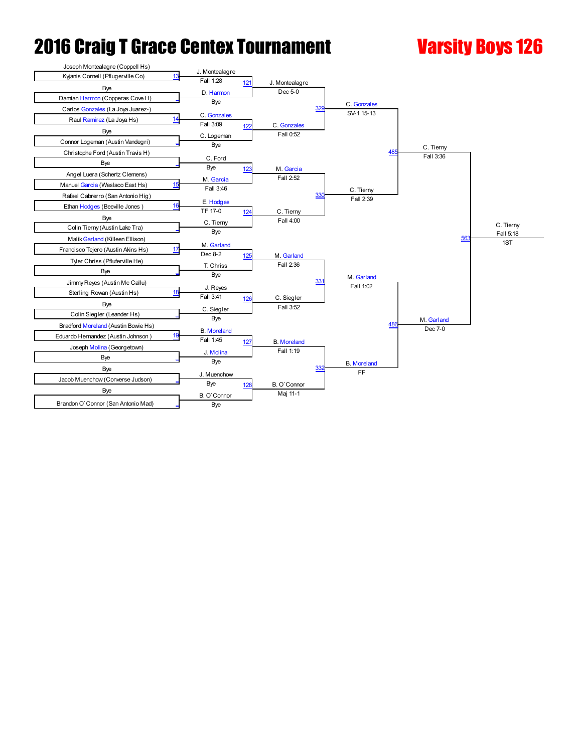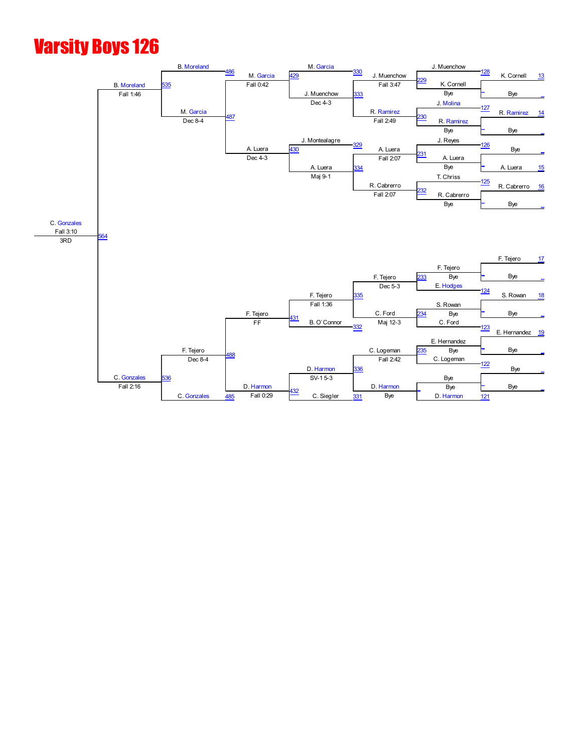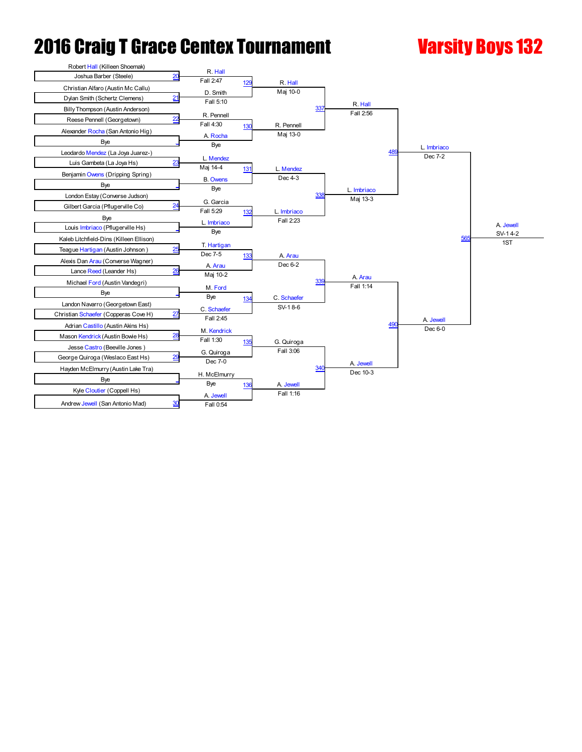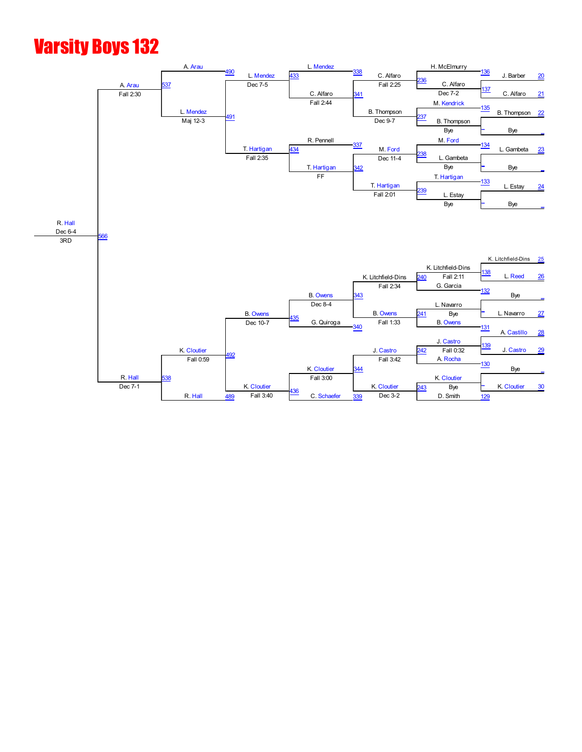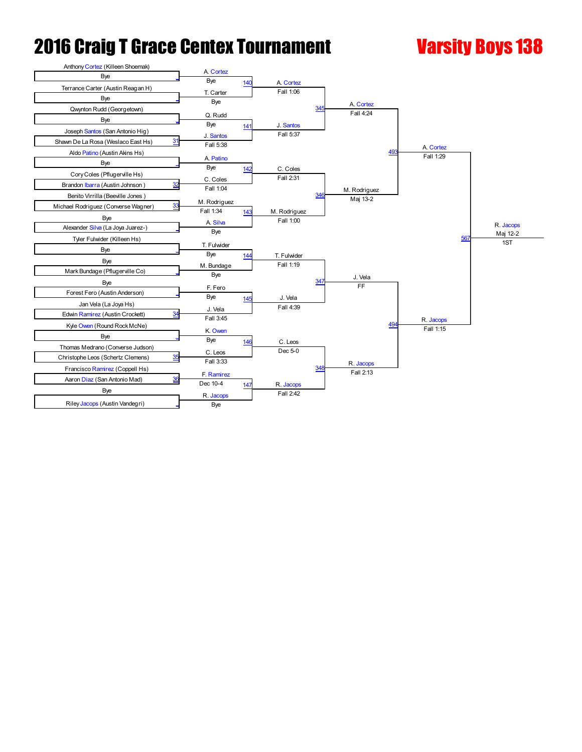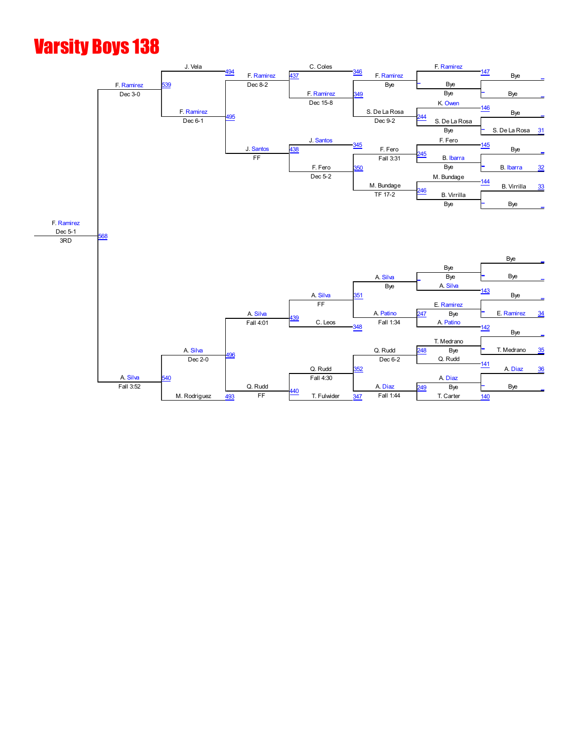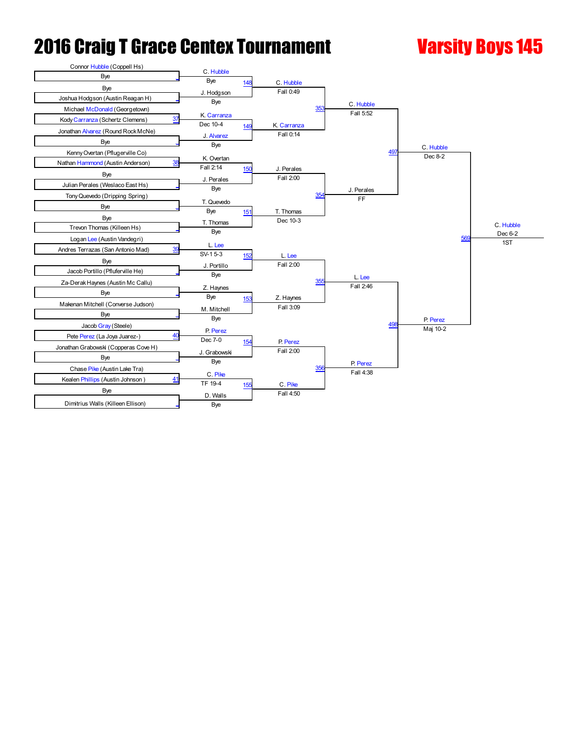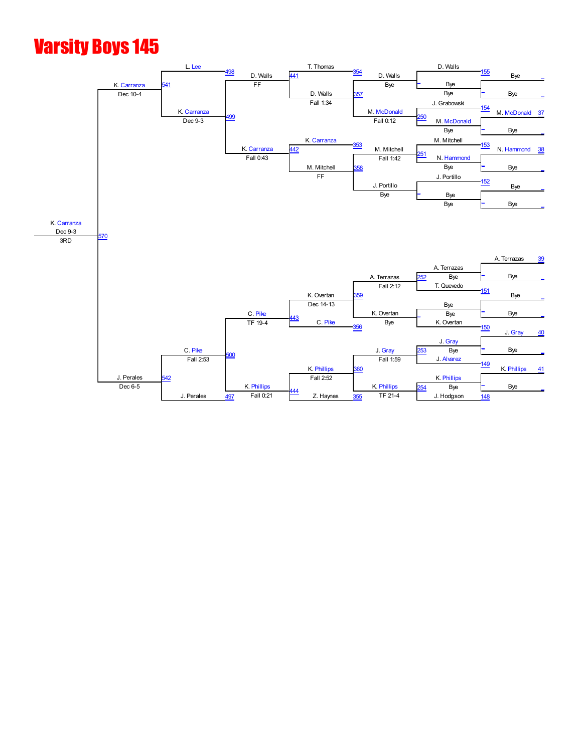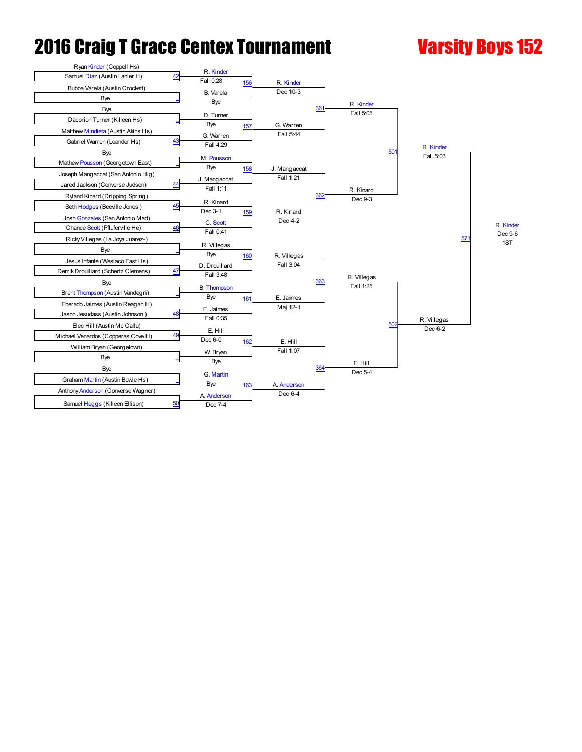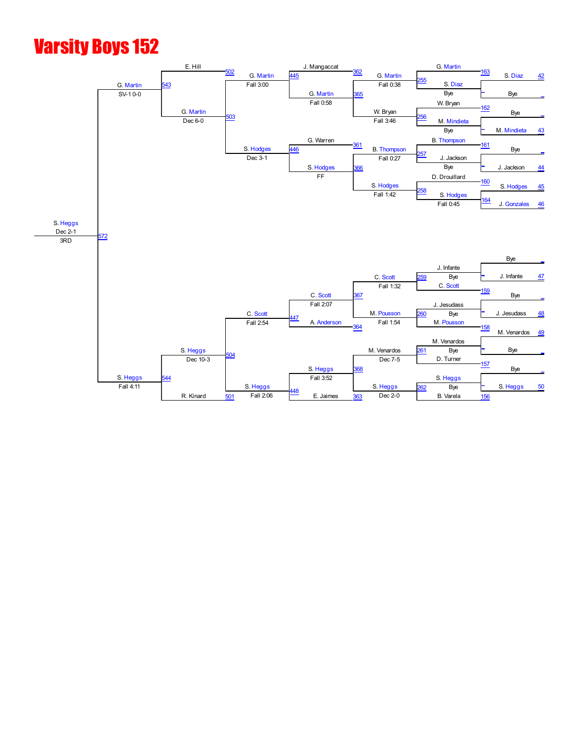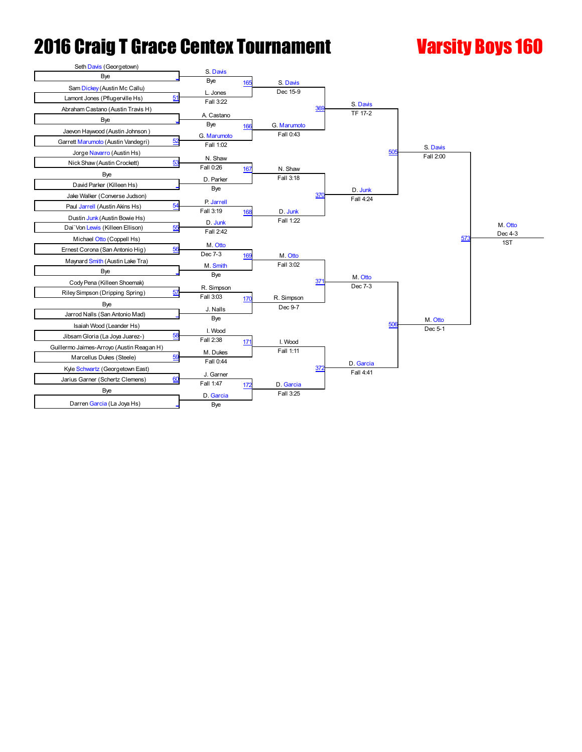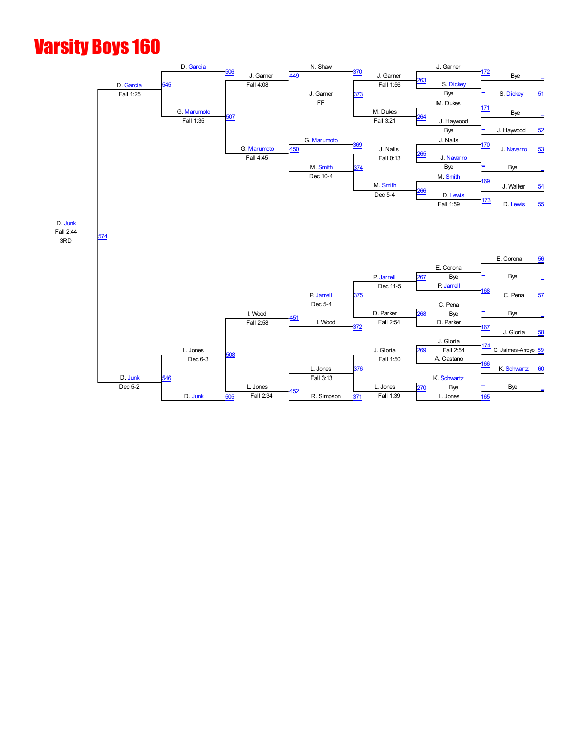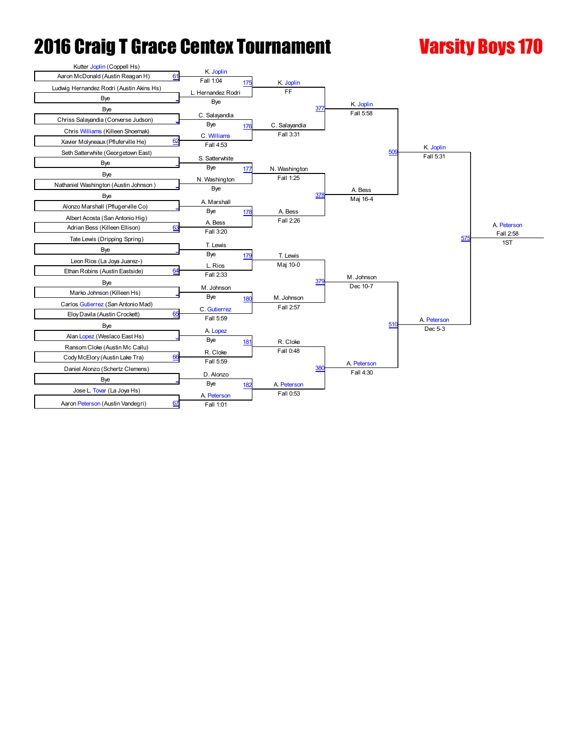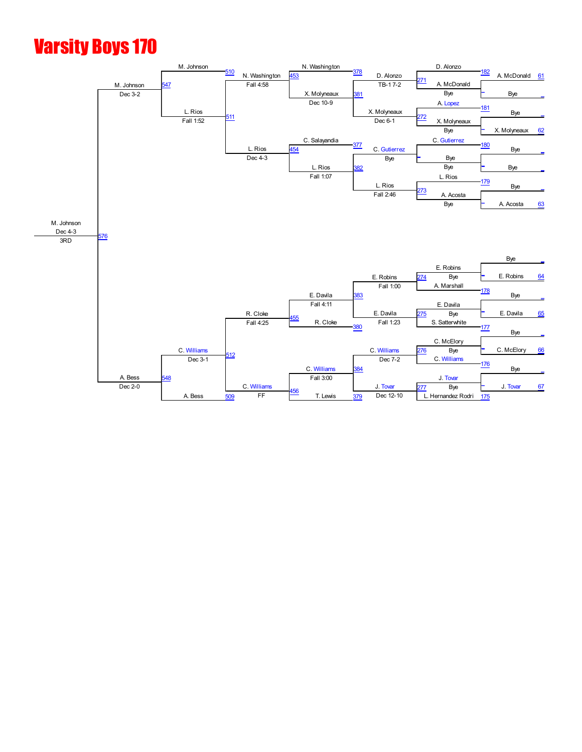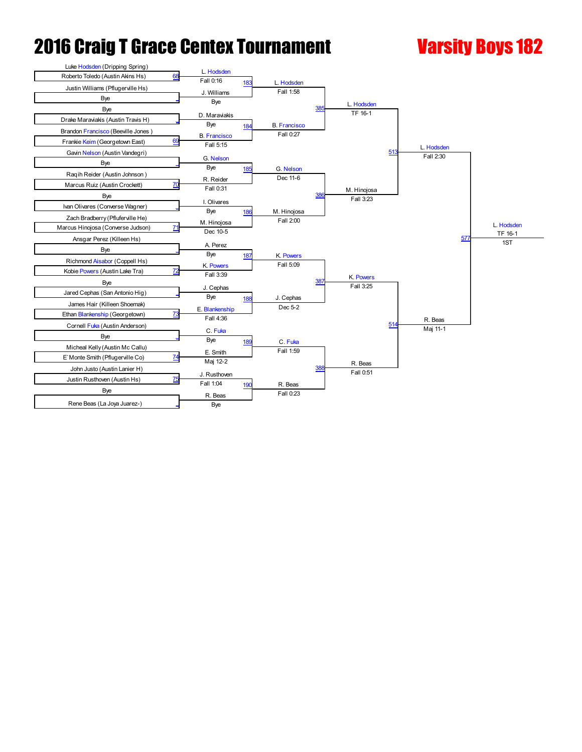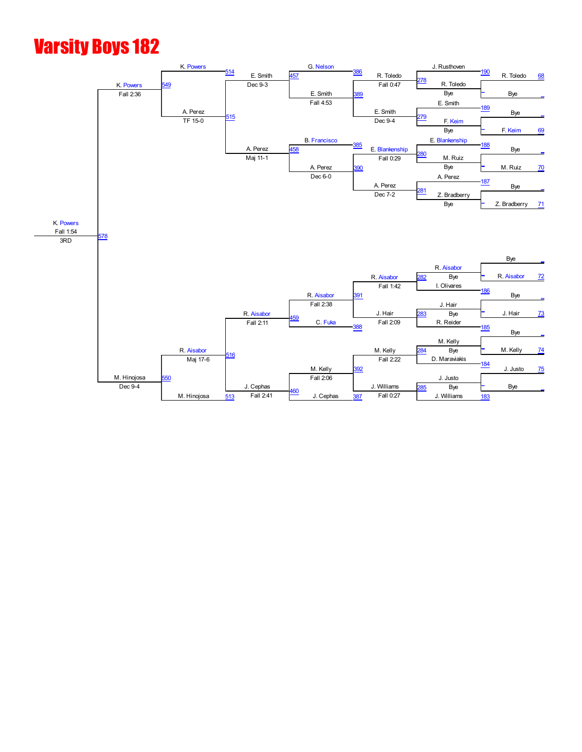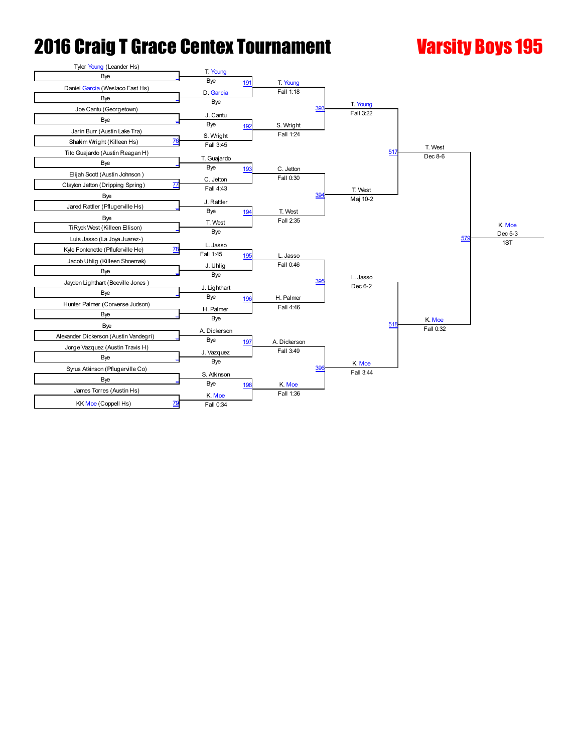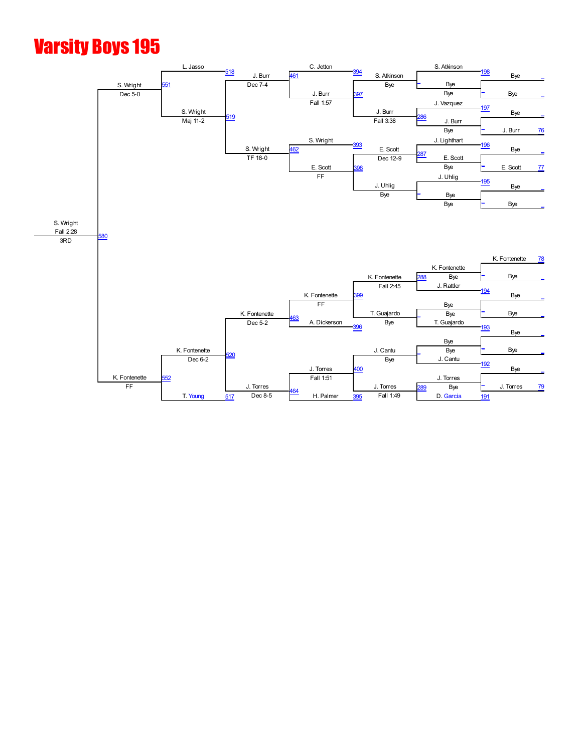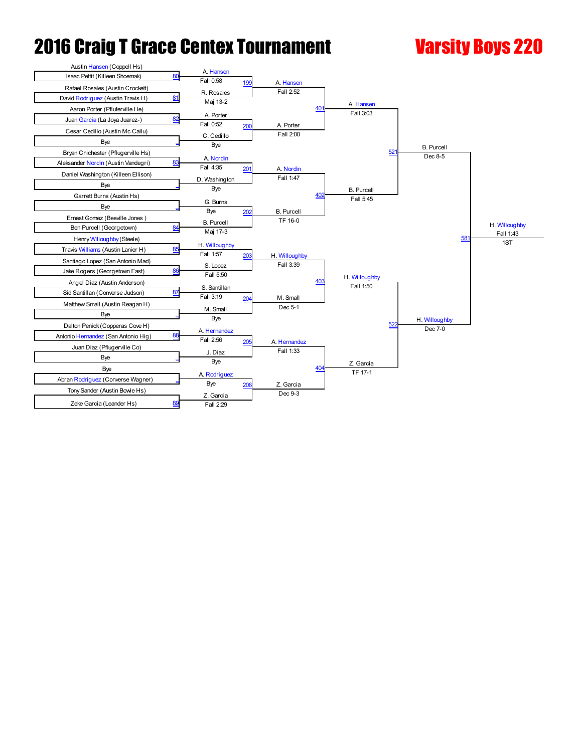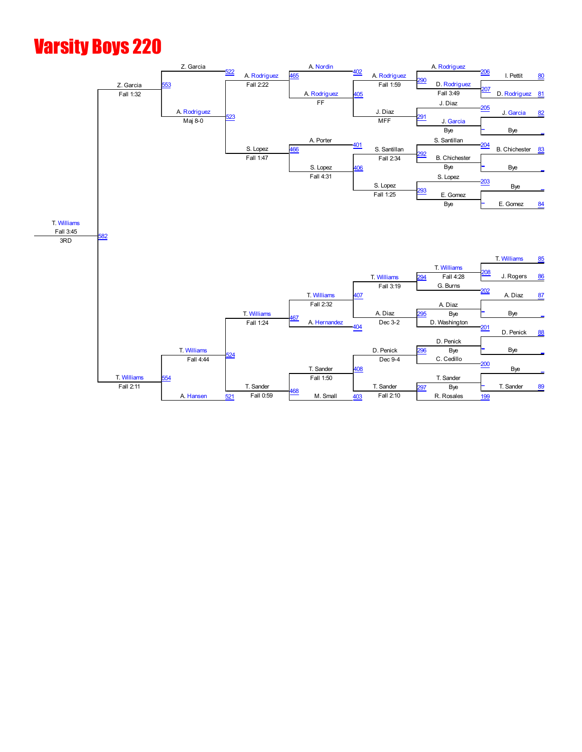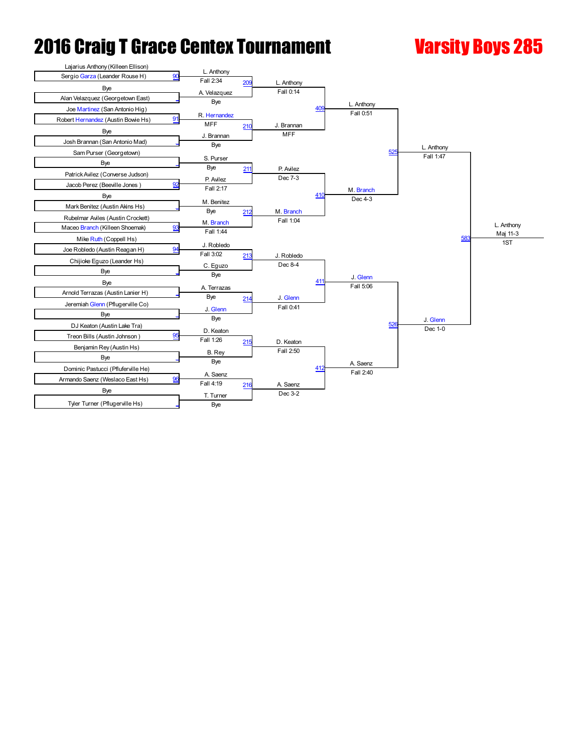